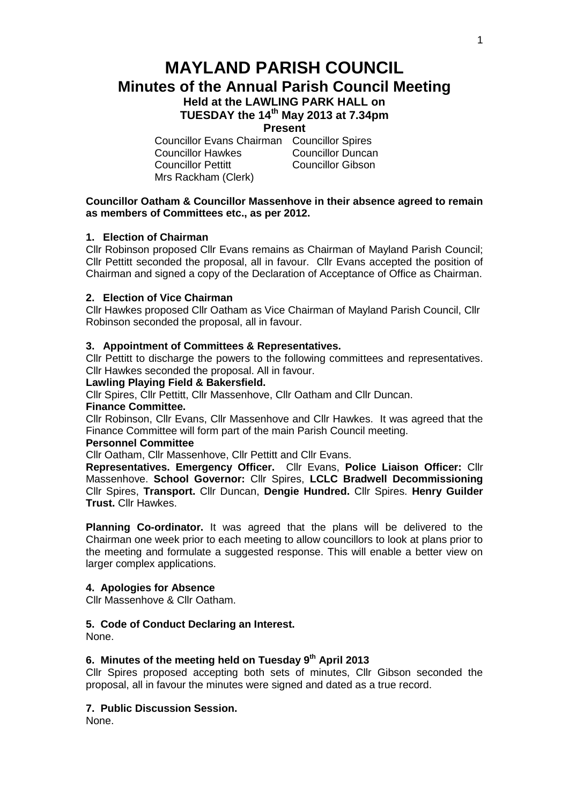# **MAYLAND PARISH COUNCIL Minutes of the Annual Parish Council Meeting Held at the LAWLING PARK HALL on TUESDAY the 14th May 2013 at 7.34pm**

**Present**

Councillor Evans Chairman Councillor Spires Councillor Hawkes Councillor Duncan Councillor Pettitt Councillor Gibson Mrs Rackham (Clerk)

# **Councillor Oatham & Councillor Massenhove in their absence agreed to remain as members of Committees etc., as per 2012.**

# **1. Election of Chairman**

Cllr Robinson proposed Cllr Evans remains as Chairman of Mayland Parish Council; Cllr Pettitt seconded the proposal, all in favour. Cllr Evans accepted the position of Chairman and signed a copy of the Declaration of Acceptance of Office as Chairman.

# **2. Election of Vice Chairman**

Cllr Hawkes proposed Cllr Oatham as Vice Chairman of Mayland Parish Council, Cllr Robinson seconded the proposal, all in favour.

# **3. Appointment of Committees & Representatives.**

Cllr Pettitt to discharge the powers to the following committees and representatives. Cllr Hawkes seconded the proposal. All in favour.

# **Lawling Playing Field & Bakersfield.**

Cllr Spires, Cllr Pettitt, Cllr Massenhove, Cllr Oatham and Cllr Duncan.

### **Finance Committee.**

Cllr Robinson, Cllr Evans, Cllr Massenhove and Cllr Hawkes. It was agreed that the Finance Committee will form part of the main Parish Council meeting.

# **Personnel Committee**

Cllr Oatham, Cllr Massenhove, Cllr Pettitt and Cllr Evans.

**Representatives. Emergency Officer.** Cllr Evans, **Police Liaison Officer:** Cllr Massenhove. **School Governor:** Cllr Spires, **LCLC Bradwell Decommissioning**  Cllr Spires, **Transport.** Cllr Duncan, **Dengie Hundred.** Cllr Spires. **Henry Guilder Trust.** Cllr Hawkes.

**Planning Co-ordinator.** It was agreed that the plans will be delivered to the Chairman one week prior to each meeting to allow councillors to look at plans prior to the meeting and formulate a suggested response. This will enable a better view on larger complex applications.

# **4. Apologies for Absence**

Cllr Massenhove & Cllr Oatham.

# **5. Code of Conduct Declaring an Interest.**

None.

# **6. Minutes of the meeting held on Tuesday 9 th April 2013**

Cllr Spires proposed accepting both sets of minutes, Cllr Gibson seconded the proposal, all in favour the minutes were signed and dated as a true record.

# **7. Public Discussion Session.**

None.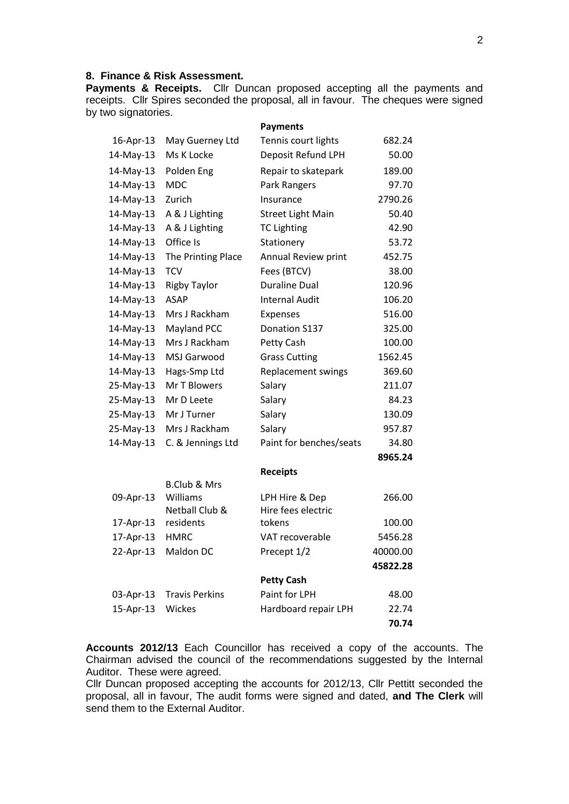#### **8. Finance & Risk Assessment.**

**Payments & Receipts.** Cllr Duncan proposed accepting all the payments and receipts. Cllr Spires seconded the proposal, all in favour. The cheques were signed by two signatories.

| <b>Payments</b><br>16-Apr-13<br>May Guerney Ltd<br>Tennis court lights<br>682.24<br>14-May-13<br>Ms K Locke<br>Deposit Refund LPH<br>14-May-13<br>Repair to skatepark<br>189.00<br>Polden Eng<br>14-May-13<br><b>MDC</b><br>Park Rangers<br>2790.26<br>14-May-13<br>Zurich<br>Insurance<br>14-May-13<br>A & J Lighting<br><b>Street Light Main</b><br>14-May-13<br>A & J Lighting<br><b>TC Lighting</b><br>14-May-13<br>Office Is<br>Stationery<br>14-May-13<br>The Printing Place<br>Annual Review print<br>452.75<br>14-May-13<br><b>TCV</b><br>Fees (BTCV)<br>14-May-13<br><b>Rigby Taylor</b><br><b>Duraline Dual</b><br>120.96<br>14-May-13<br><b>Internal Audit</b><br><b>ASAP</b><br>106.20<br>14-May-13<br>516.00<br>Mrs J Rackham<br>Expenses<br>14-May-13<br>Donation S137<br>Mayland PCC<br>325.00<br>Mrs J Rackham<br>14-May-13<br>Petty Cash<br>100.00<br>14-May-13<br>MSJ Garwood<br><b>Grass Cutting</b><br>1562.45<br>14-May-13<br>Hags-Smp Ltd<br>Replacement swings<br>369.60<br>25-May-13<br>Mr T Blowers<br>Salary<br>211.07<br>25-May-13<br>Mr D Leete<br>Salary<br>25-May-13<br>Mr J Turner<br>Salary<br>130.09<br>25-May-13<br>Mrs J Rackham<br>Salary<br>957.87<br>14-May-13<br>C. & Jennings Ltd<br>Paint for benches/seats<br>8965.24<br><b>Receipts</b><br><b>B.Club &amp; Mrs</b><br>09-Apr-13<br>Williams<br>LPH Hire & Dep<br>266.00<br>Netball Club &<br>Hire fees electric<br>residents<br>tokens<br>17-Apr-13<br>100.00 | 50.00<br>97.70<br>50.40<br>42.90<br>53.72 |
|----------------------------------------------------------------------------------------------------------------------------------------------------------------------------------------------------------------------------------------------------------------------------------------------------------------------------------------------------------------------------------------------------------------------------------------------------------------------------------------------------------------------------------------------------------------------------------------------------------------------------------------------------------------------------------------------------------------------------------------------------------------------------------------------------------------------------------------------------------------------------------------------------------------------------------------------------------------------------------------------------------------------------------------------------------------------------------------------------------------------------------------------------------------------------------------------------------------------------------------------------------------------------------------------------------------------------------------------------------------------------------------------------------------------------------------------------------|-------------------------------------------|
|                                                                                                                                                                                                                                                                                                                                                                                                                                                                                                                                                                                                                                                                                                                                                                                                                                                                                                                                                                                                                                                                                                                                                                                                                                                                                                                                                                                                                                                          |                                           |
|                                                                                                                                                                                                                                                                                                                                                                                                                                                                                                                                                                                                                                                                                                                                                                                                                                                                                                                                                                                                                                                                                                                                                                                                                                                                                                                                                                                                                                                          |                                           |
|                                                                                                                                                                                                                                                                                                                                                                                                                                                                                                                                                                                                                                                                                                                                                                                                                                                                                                                                                                                                                                                                                                                                                                                                                                                                                                                                                                                                                                                          |                                           |
|                                                                                                                                                                                                                                                                                                                                                                                                                                                                                                                                                                                                                                                                                                                                                                                                                                                                                                                                                                                                                                                                                                                                                                                                                                                                                                                                                                                                                                                          |                                           |
|                                                                                                                                                                                                                                                                                                                                                                                                                                                                                                                                                                                                                                                                                                                                                                                                                                                                                                                                                                                                                                                                                                                                                                                                                                                                                                                                                                                                                                                          |                                           |
|                                                                                                                                                                                                                                                                                                                                                                                                                                                                                                                                                                                                                                                                                                                                                                                                                                                                                                                                                                                                                                                                                                                                                                                                                                                                                                                                                                                                                                                          |                                           |
|                                                                                                                                                                                                                                                                                                                                                                                                                                                                                                                                                                                                                                                                                                                                                                                                                                                                                                                                                                                                                                                                                                                                                                                                                                                                                                                                                                                                                                                          |                                           |
|                                                                                                                                                                                                                                                                                                                                                                                                                                                                                                                                                                                                                                                                                                                                                                                                                                                                                                                                                                                                                                                                                                                                                                                                                                                                                                                                                                                                                                                          |                                           |
|                                                                                                                                                                                                                                                                                                                                                                                                                                                                                                                                                                                                                                                                                                                                                                                                                                                                                                                                                                                                                                                                                                                                                                                                                                                                                                                                                                                                                                                          |                                           |
|                                                                                                                                                                                                                                                                                                                                                                                                                                                                                                                                                                                                                                                                                                                                                                                                                                                                                                                                                                                                                                                                                                                                                                                                                                                                                                                                                                                                                                                          | 38.00                                     |
|                                                                                                                                                                                                                                                                                                                                                                                                                                                                                                                                                                                                                                                                                                                                                                                                                                                                                                                                                                                                                                                                                                                                                                                                                                                                                                                                                                                                                                                          |                                           |
|                                                                                                                                                                                                                                                                                                                                                                                                                                                                                                                                                                                                                                                                                                                                                                                                                                                                                                                                                                                                                                                                                                                                                                                                                                                                                                                                                                                                                                                          |                                           |
|                                                                                                                                                                                                                                                                                                                                                                                                                                                                                                                                                                                                                                                                                                                                                                                                                                                                                                                                                                                                                                                                                                                                                                                                                                                                                                                                                                                                                                                          |                                           |
|                                                                                                                                                                                                                                                                                                                                                                                                                                                                                                                                                                                                                                                                                                                                                                                                                                                                                                                                                                                                                                                                                                                                                                                                                                                                                                                                                                                                                                                          |                                           |
|                                                                                                                                                                                                                                                                                                                                                                                                                                                                                                                                                                                                                                                                                                                                                                                                                                                                                                                                                                                                                                                                                                                                                                                                                                                                                                                                                                                                                                                          |                                           |
|                                                                                                                                                                                                                                                                                                                                                                                                                                                                                                                                                                                                                                                                                                                                                                                                                                                                                                                                                                                                                                                                                                                                                                                                                                                                                                                                                                                                                                                          |                                           |
|                                                                                                                                                                                                                                                                                                                                                                                                                                                                                                                                                                                                                                                                                                                                                                                                                                                                                                                                                                                                                                                                                                                                                                                                                                                                                                                                                                                                                                                          |                                           |
|                                                                                                                                                                                                                                                                                                                                                                                                                                                                                                                                                                                                                                                                                                                                                                                                                                                                                                                                                                                                                                                                                                                                                                                                                                                                                                                                                                                                                                                          |                                           |
|                                                                                                                                                                                                                                                                                                                                                                                                                                                                                                                                                                                                                                                                                                                                                                                                                                                                                                                                                                                                                                                                                                                                                                                                                                                                                                                                                                                                                                                          | 84.23                                     |
|                                                                                                                                                                                                                                                                                                                                                                                                                                                                                                                                                                                                                                                                                                                                                                                                                                                                                                                                                                                                                                                                                                                                                                                                                                                                                                                                                                                                                                                          |                                           |
|                                                                                                                                                                                                                                                                                                                                                                                                                                                                                                                                                                                                                                                                                                                                                                                                                                                                                                                                                                                                                                                                                                                                                                                                                                                                                                                                                                                                                                                          |                                           |
|                                                                                                                                                                                                                                                                                                                                                                                                                                                                                                                                                                                                                                                                                                                                                                                                                                                                                                                                                                                                                                                                                                                                                                                                                                                                                                                                                                                                                                                          | 34.80                                     |
|                                                                                                                                                                                                                                                                                                                                                                                                                                                                                                                                                                                                                                                                                                                                                                                                                                                                                                                                                                                                                                                                                                                                                                                                                                                                                                                                                                                                                                                          |                                           |
|                                                                                                                                                                                                                                                                                                                                                                                                                                                                                                                                                                                                                                                                                                                                                                                                                                                                                                                                                                                                                                                                                                                                                                                                                                                                                                                                                                                                                                                          |                                           |
|                                                                                                                                                                                                                                                                                                                                                                                                                                                                                                                                                                                                                                                                                                                                                                                                                                                                                                                                                                                                                                                                                                                                                                                                                                                                                                                                                                                                                                                          |                                           |
|                                                                                                                                                                                                                                                                                                                                                                                                                                                                                                                                                                                                                                                                                                                                                                                                                                                                                                                                                                                                                                                                                                                                                                                                                                                                                                                                                                                                                                                          |                                           |
|                                                                                                                                                                                                                                                                                                                                                                                                                                                                                                                                                                                                                                                                                                                                                                                                                                                                                                                                                                                                                                                                                                                                                                                                                                                                                                                                                                                                                                                          |                                           |
| 17-Apr-13<br>5456.28<br><b>HMRC</b><br>VAT recoverable                                                                                                                                                                                                                                                                                                                                                                                                                                                                                                                                                                                                                                                                                                                                                                                                                                                                                                                                                                                                                                                                                                                                                                                                                                                                                                                                                                                                   |                                           |
| Maldon DC<br>Precept 1/2<br>22-Apr-13<br>40000.00                                                                                                                                                                                                                                                                                                                                                                                                                                                                                                                                                                                                                                                                                                                                                                                                                                                                                                                                                                                                                                                                                                                                                                                                                                                                                                                                                                                                        |                                           |
| 45822.28                                                                                                                                                                                                                                                                                                                                                                                                                                                                                                                                                                                                                                                                                                                                                                                                                                                                                                                                                                                                                                                                                                                                                                                                                                                                                                                                                                                                                                                 |                                           |
| <b>Petty Cash</b>                                                                                                                                                                                                                                                                                                                                                                                                                                                                                                                                                                                                                                                                                                                                                                                                                                                                                                                                                                                                                                                                                                                                                                                                                                                                                                                                                                                                                                        |                                           |
| Paint for LPH<br>03-Apr-13<br><b>Travis Perkins</b>                                                                                                                                                                                                                                                                                                                                                                                                                                                                                                                                                                                                                                                                                                                                                                                                                                                                                                                                                                                                                                                                                                                                                                                                                                                                                                                                                                                                      | 48.00                                     |
| 15-Apr-13<br>Hardboard repair LPH<br>Wickes                                                                                                                                                                                                                                                                                                                                                                                                                                                                                                                                                                                                                                                                                                                                                                                                                                                                                                                                                                                                                                                                                                                                                                                                                                                                                                                                                                                                              |                                           |
| 70.74                                                                                                                                                                                                                                                                                                                                                                                                                                                                                                                                                                                                                                                                                                                                                                                                                                                                                                                                                                                                                                                                                                                                                                                                                                                                                                                                                                                                                                                    | 22.74                                     |

**Accounts 2012/13** Each Councillor has received a copy of the accounts. The Chairman advised the council of the recommendations suggested by the Internal Auditor. These were agreed.

Cllr Duncan proposed accepting the accounts for 2012/13, Cllr Pettitt seconded the proposal, all in favour, The audit forms were signed and dated, **and The Clerk** will send them to the External Auditor.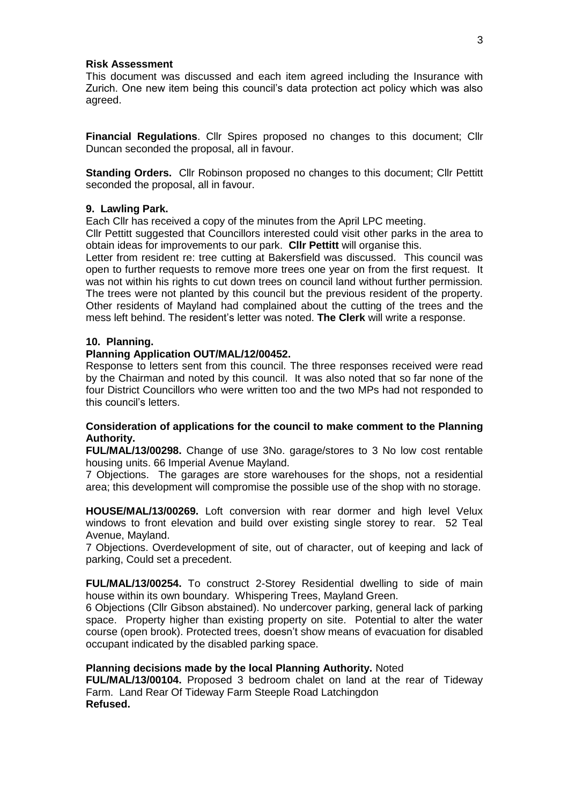#### **Risk Assessment**

This document was discussed and each item agreed including the Insurance with Zurich. One new item being this council's data protection act policy which was also agreed.

**Financial Regulations**. Cllr Spires proposed no changes to this document; Cllr Duncan seconded the proposal, all in favour.

**Standing Orders.** Cllr Robinson proposed no changes to this document; Cllr Pettitt seconded the proposal, all in favour.

#### **9. Lawling Park.**

Each Cllr has received a copy of the minutes from the April LPC meeting.

Cllr Pettitt suggested that Councillors interested could visit other parks in the area to obtain ideas for improvements to our park. **Cllr Pettitt** will organise this.

Letter from resident re: tree cutting at Bakersfield was discussed. This council was open to further requests to remove more trees one year on from the first request. It was not within his rights to cut down trees on council land without further permission. The trees were not planted by this council but the previous resident of the property. Other residents of Mayland had complained about the cutting of the trees and the mess left behind. The resident's letter was noted. **The Clerk** will write a response.

#### **10. Planning.**

### **Planning Application OUT/MAL/12/00452.**

Response to letters sent from this council. The three responses received were read by the Chairman and noted by this council. It was also noted that so far none of the four District Councillors who were written too and the two MPs had not responded to this council's letters.

# **Consideration of applications for the council to make comment to the Planning Authority.**

**FUL/MAL/13/00298.** Change of use 3No. garage/stores to 3 No low cost rentable housing units. 66 Imperial Avenue Mayland.

7 Objections. The garages are store warehouses for the shops, not a residential area; this development will compromise the possible use of the shop with no storage.

**HOUSE/MAL/13/00269.** Loft conversion with rear dormer and high level Velux windows to front elevation and build over existing single storey to rear. 52 Teal Avenue, Mayland.

7 Objections. Overdevelopment of site, out of character, out of keeping and lack of parking, Could set a precedent.

**FUL/MAL/13/00254.** To construct 2-Storey Residential dwelling to side of main house within its own boundary. Whispering Trees, Mayland Green.

6 Objections (Cllr Gibson abstained). No undercover parking, general lack of parking space. Property higher than existing property on site. Potential to alter the water course (open brook). Protected trees, doesn't show means of evacuation for disabled occupant indicated by the disabled parking space.

#### **Planning decisions made by the local Planning Authority.** Noted

**FUL/MAL/13/00104.** Proposed 3 bedroom chalet on land at the rear of Tideway Farm. Land Rear Of Tideway Farm Steeple Road Latchingdon **Refused.**